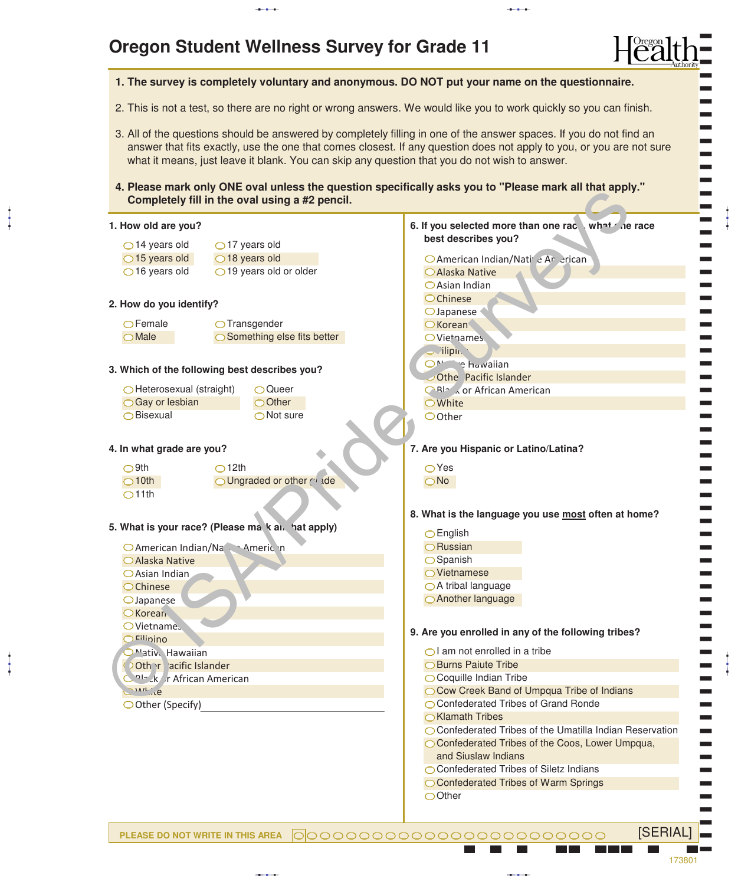## **Oregon Student Wellness Survey for Grade 11**

aaba

 $\ddagger$ 

aaba

 $\ddot{\ddot{\phantom{1}}}$ 

|                                        |                                                   | 1. The survey is completely voluntary and anonymous. DO NOT put your name on the questionnaire.                                                                                                                                                                                                                                              |
|----------------------------------------|---------------------------------------------------|----------------------------------------------------------------------------------------------------------------------------------------------------------------------------------------------------------------------------------------------------------------------------------------------------------------------------------------------|
|                                        |                                                   | 2. This is not a test, so there are no right or wrong answers. We would like you to work quickly so you can finish.                                                                                                                                                                                                                          |
|                                        |                                                   | 3. All of the questions should be answered by completely filling in one of the answer spaces. If you do not find an<br>answer that fits exactly, use the one that comes closest. If any question does not apply to you, or you are not sure<br>what it means, just leave it blank. You can skip any question that you do not wish to answer. |
|                                        | Completely fill in the oval using a #2 pencil.    | 4. Please mark only ONE oval unless the question specifically asks you to "Please mark all that apply."                                                                                                                                                                                                                                      |
| 1. How old are you?                    |                                                   | 6. If you selected more than one race what the race                                                                                                                                                                                                                                                                                          |
| $\bigcirc$ 14 years old                | $\bigcirc$ 17 years old                           | best describes you?                                                                                                                                                                                                                                                                                                                          |
| $\bigcirc$ 15 years old                | $\bigcirc$ 18 years old                           | O American Indian/Nati' e Ar erican                                                                                                                                                                                                                                                                                                          |
| $\bigcirc$ 16 years old                | $\bigcirc$ 19 years old or older                  | ○ Alaska Native                                                                                                                                                                                                                                                                                                                              |
|                                        |                                                   | ○ Asian Indian                                                                                                                                                                                                                                                                                                                               |
| 2. How do you identify?                |                                                   | OChinese                                                                                                                                                                                                                                                                                                                                     |
|                                        |                                                   | $\bigcirc$ Japanese                                                                                                                                                                                                                                                                                                                          |
| $\bigcirc$ Female                      | $\bigcirc$ Transgender                            | <b>O</b> Korean                                                                                                                                                                                                                                                                                                                              |
| $\bigcirc$ Male                        | ◯ Something else fits better                      | OViethames.                                                                                                                                                                                                                                                                                                                                  |
|                                        |                                                   | $\sim$ lipin.<br>ON <sup>1</sup> e hawaiian                                                                                                                                                                                                                                                                                                  |
|                                        | 3. Which of the following best describes you?     | Othe Pacific Islander                                                                                                                                                                                                                                                                                                                        |
| ◯ Heterosexual (straight)              | ○ Queer                                           | <b>ORIZ Kor African American</b>                                                                                                                                                                                                                                                                                                             |
| ○ Gay or lesbian                       | ○ Other                                           | <b>O</b> White                                                                                                                                                                                                                                                                                                                               |
| ○ Bisexual                             | $\bigcirc$ Not sure                               | OOther                                                                                                                                                                                                                                                                                                                                       |
|                                        |                                                   |                                                                                                                                                                                                                                                                                                                                              |
| 4. In what grade are you?              |                                                   | 7. Are you Hispanic or Latino/Latina?                                                                                                                                                                                                                                                                                                        |
| $O$ 9th                                | $\bigcirc$ 12th                                   | $\bigcirc$ Yes                                                                                                                                                                                                                                                                                                                               |
| $\bigcirc$ 10th                        | O Ungraded or other C ade                         | $\bigcirc$ No                                                                                                                                                                                                                                                                                                                                |
| O11th                                  |                                                   |                                                                                                                                                                                                                                                                                                                                              |
|                                        |                                                   |                                                                                                                                                                                                                                                                                                                                              |
|                                        | 5. What is your race? (Please ma k al. hat apply) | 8. What is the language you use most often at home?                                                                                                                                                                                                                                                                                          |
|                                        |                                                   | $\bigcirc$ English                                                                                                                                                                                                                                                                                                                           |
|                                        | O American Indian/Na Americ n                     | $\bigcirc$ Russian                                                                                                                                                                                                                                                                                                                           |
| ○ Alaska Native                        |                                                   | $\bigcirc$ Spanish                                                                                                                                                                                                                                                                                                                           |
| $\bigcirc$ Asian Indian                |                                                   | ○ Vietnamese<br>$\bigcirc$ A tribal language                                                                                                                                                                                                                                                                                                 |
| $O$ Chinese                            |                                                   | ○ Another language                                                                                                                                                                                                                                                                                                                           |
| $\bigcirc$ Japanese<br><b>O</b> Korean |                                                   |                                                                                                                                                                                                                                                                                                                                              |
| <b>OVietnames</b>                      |                                                   |                                                                                                                                                                                                                                                                                                                                              |
| O <sup>Filin</sup> ino                 |                                                   | 9. Are you enrolled in any of the following tribes?                                                                                                                                                                                                                                                                                          |
| Mativ Hawaiian                         |                                                   | $\bigcirc$ l am not enrolled in a tribe                                                                                                                                                                                                                                                                                                      |
| Other acific Islander                  |                                                   | ◯ Burns Paiute Tribe                                                                                                                                                                                                                                                                                                                         |
| <b>Nalazk</b> r African American       |                                                   | ◯ Coquille Indian Tribe                                                                                                                                                                                                                                                                                                                      |
| SIANCE                                 |                                                   | O Cow Creek Band of Umpqua Tribe of Indians                                                                                                                                                                                                                                                                                                  |
| ◯ Other (Specify)                      |                                                   | ◯ Confederated Tribes of Grand Ronde                                                                                                                                                                                                                                                                                                         |
|                                        |                                                   | ◯ Klamath Tribes                                                                                                                                                                                                                                                                                                                             |
|                                        |                                                   | ◯ Confederated Tribes of the Umatilla Indian Reservation                                                                                                                                                                                                                                                                                     |
|                                        |                                                   | O Confederated Tribes of the Coos, Lower Umpqua,                                                                                                                                                                                                                                                                                             |
|                                        |                                                   | and Siuslaw Indians<br>◯ Confederated Tribes of Siletz Indians                                                                                                                                                                                                                                                                               |
|                                        |                                                   | ◯ Confederated Tribes of Warm Springs                                                                                                                                                                                                                                                                                                        |
|                                        |                                                   |                                                                                                                                                                                                                                                                                                                                              |

aabaad ka sida lagu saaraa lagu saaraa lagu saaraa lagu saaraa lagu saaraa lagu saaraa lagu saaraa lagu saara<br>Aabaad ka sida lagu saaraa lagu saaraa lagu saaraa lagu saaraa lagu saaraa lagu saaraa lagu saaraa lagu saaraa

**PLEASE DO NOT WRITE IN THIS AREA** [SERIAL] ---------

aabaad ka sida lagu saaraa lagu saaraa lagu saaraa lagu saaraa lagu saaraa lagu saaraa lagu saaraa lagu saara<br>Aabaad ka sida lagu saaraa lagu saaraa lagu saaraa lagu saaraa lagu saaraa lagu saaraa lagu saaraa lagu saaraa

173801

) ا کا aaba

ļ

)

aaba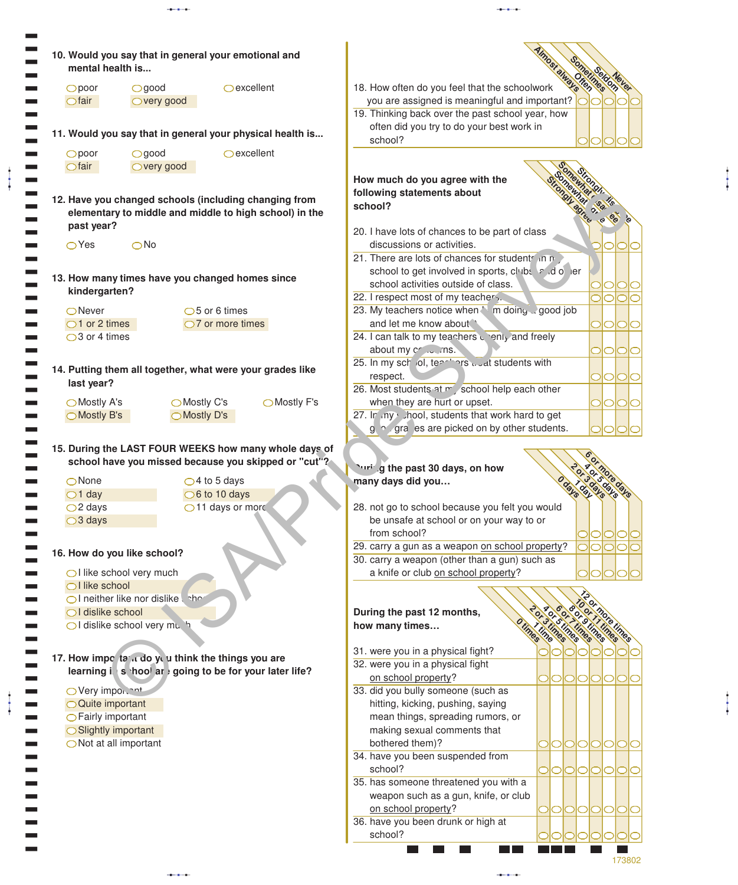| 10. Would you say that in general your emotional and<br>mental health is                                        |                                                                                                                                                    |
|-----------------------------------------------------------------------------------------------------------------|----------------------------------------------------------------------------------------------------------------------------------------------------|
| $O$ excellent<br>Opoor<br>$\bigcirc$ good<br>$\bigcirc$ fair<br>○very good                                      | 18. How often do you feel that the schoolwork<br>you are assigned is meaningful and important?<br>19. Thinking back over the past school year, how |
| 11. Would you say that in general your physical health is                                                       | often did you try to do your best work in<br>school?                                                                                               |
| $O$ excellent<br>$O$ good<br>Opoor<br>$\bigcirc$ fair<br>○ very good                                            |                                                                                                                                                    |
|                                                                                                                 | How much do you agree with the                                                                                                                     |
| 12. Have you changed schools (including changing from<br>elementary to middle and middle to high school) in the | following statements about<br>school?                                                                                                              |
| past year?                                                                                                      | 20. I have lots of chances to be part of class                                                                                                     |
| $\bigcirc$ Yes<br>$\bigcirc$ No                                                                                 | discussions or activities.<br>21. There are lots of chances for students in n                                                                      |
|                                                                                                                 | school to get involved in sports, clubs end of ler                                                                                                 |
| 13. How many times have you changed homes since<br>kindergarten?                                                | school activities outside of class.                                                                                                                |
|                                                                                                                 | 22. I respect most of my teachers.                                                                                                                 |
| $\bigcirc$ Never<br>$\bigcirc$ 5 or 6 times<br>$\bigcirc$ 1 or 2 times<br>$\bigcirc$ 7 or more times            | 23. My teachers notice when \allen doing a good job<br>and let me know about<br> O O<br>OI                                                         |
| $\bigcirc$ 3 or 4 times                                                                                         | 24. I can talk to my teachers wenty and freely                                                                                                     |
|                                                                                                                 | about my cr  ms.<br>000                                                                                                                            |
| 14. Putting them all together, what were your grades like                                                       | 25. In my school, teachers would students with                                                                                                     |
| last year?                                                                                                      | respect.<br>000<br>26. Most students at my school help each other                                                                                  |
| ◯ Mostly C's<br>◯ Mostly A's                                                                                    | ◯ Mostly F's<br>when they are hurt or upset.<br> 0 0 0                                                                                             |
|                                                                                                                 |                                                                                                                                                    |
| ◯ Mostly D's<br>◯ Mostly B's                                                                                    | 27. In my Chool, students that work hard to get<br>g o gra es are picked on by other students.                                                     |
| 15. During the LAST FOUR WEEKS how many whole days of<br>school have you missed because you skipped or "cut"?   |                                                                                                                                                    |
| $\bigcirc$ None<br>$\bigcirc$ 4 to 5 days                                                                       | Yuring the past 30 days, on how<br>many days did you                                                                                               |
| $\bigcirc$ 6 to 10 days<br>$\bigcirc$ 1 day                                                                     |                                                                                                                                                    |
| $\bigcirc$ 11 days or mord<br>$\bigcirc$ 2 days                                                                 | 28. not go to school because you felt you would                                                                                                    |
| $\bigcirc$ 3 days                                                                                               | be unsafe at school or on your way to or<br>from school?                                                                                           |
|                                                                                                                 | 29. carry a gun as a weapon on school property?<br>000<br>lO                                                                                       |
| 16. How do you like school?                                                                                     | 30. carry a weapon (other than a gun) such as                                                                                                      |
| ◯ I like school very much<br>OI like school                                                                     | a knife or club on school property?                                                                                                                |
| OI neither like nor dislike                                                                                     |                                                                                                                                                    |
| ○I dislike school<br>OI dislike school very mu                                                                  | During the past 12 months,<br>how many times                                                                                                       |
|                                                                                                                 | times<br>mes                                                                                                                                       |
| 17. How impo tand do you think the things you are                                                               | 31. were you in a physical fight?                                                                                                                  |
| learning in shool are going to be for your later life?                                                          | 32. were you in a physical fight                                                                                                                   |
| OVery important                                                                                                 | on school property?<br>101010<br>O<br>33. did you bully someone (such as                                                                           |
| ○ Quite important                                                                                               | hitting, kicking, pushing, saying                                                                                                                  |
| ○ Fairly important                                                                                              | mean things, spreading rumors, or                                                                                                                  |
| ◯ Slightly important                                                                                            | making sexual comments that                                                                                                                        |
| $\bigcirc$ Not at all important                                                                                 | bothered them)?<br>IOIOIO<br>$\circ$<br>ΙO<br>34. have you been suspended from                                                                     |
|                                                                                                                 | school?<br>10101010                                                                                                                                |
|                                                                                                                 | 35. has someone threatened you with a                                                                                                              |
|                                                                                                                 | weapon such as a gun, knife, or club                                                                                                               |
|                                                                                                                 | on school property?<br><b>IOIOIOI</b><br>O<br>36. have you been drunk or high at                                                                   |

aaba

t Į

aaba

 $\ddagger$ 

aaba aabaa aabaa aabaa aabaa aabaa aabaa aabaa aabaa aabaa aabaa aabaa aabaa aabaa aabaa aabaa aabaa aabaa aab<br>aabaa aabaa aabaa aabaa aabaa aabaa aabaa aabaa aabaa aabaa aabaa aabaa aabaa aabaa aabaa aabaa aabaa aabaa aa

aaba

aaba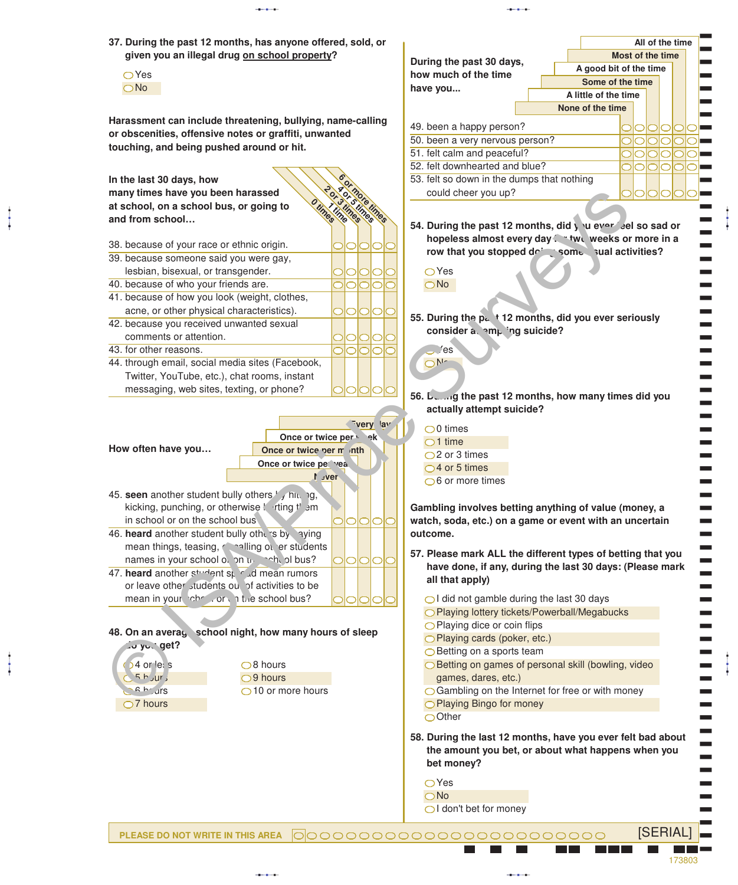|                                                            | All of the time<br>Most of the time                                                                                            |
|------------------------------------------------------------|--------------------------------------------------------------------------------------------------------------------------------|
| given you an illegal drug on school property?              | During the past 30 days,                                                                                                       |
| $\bigcirc$ Yes                                             | A good bit of the time<br>how much of the time                                                                                 |
| $\bigcirc$ No                                              | Some of the time<br>have you                                                                                                   |
|                                                            | A little of the time                                                                                                           |
|                                                            | None of the time                                                                                                               |
| Harassment can include threatening, bullying, name-calling | 49. been a happy person?<br>OIOIOIC                                                                                            |
| or obscenities, offensive notes or graffiti, unwanted      | 50. been a very nervous person?<br>olololo                                                                                     |
| touching, and being pushed around or hit.                  | 51. felt calm and peaceful?                                                                                                    |
|                                                            | 52. felt downhearted and blue?<br>olololo                                                                                      |
| In the last 30 days, how                                   | 53. felt so down in the dumps that nothing                                                                                     |
| many times have you been harassed                          | could cheer you up?                                                                                                            |
| at school, on a school bus, or going to                    |                                                                                                                                |
| nee nee<br>nes<br>and from school                          |                                                                                                                                |
|                                                            | 54. During the past 12 months, did you ever sell so sad or                                                                     |
| 38. because of your race or ethnic origin.<br>10101010     | hopeless almost every day. * two weeks or more in a                                                                            |
| 39. because someone said you were gay,                     | row that you stopped do's some sual activities?                                                                                |
| lesbian, bisexual, or transgender.<br>OIOIOIC              | $\bigcirc$ Yes                                                                                                                 |
| 40. because of who your friends are.<br>lolololc           | $\bigcirc$ No                                                                                                                  |
| 41. because of how you look (weight, clothes,              |                                                                                                                                |
|                                                            |                                                                                                                                |
| acne, or other physical characteristics).<br>0101010       | 55. During the p. t 12 months, did you ever seriously                                                                          |
| 42. because you received unwanted sexual                   | consider a emploing suicide?                                                                                                   |
| comments or attention.<br>10101010                         |                                                                                                                                |
| 43. for other reasons.<br>00000                            | 'es                                                                                                                            |
| 44. through email, social media sites (Facebook,           | $\bigcap$ N-                                                                                                                   |
| Twitter, YouTube, etc.), chat rooms, instant               |                                                                                                                                |
| messaging, web sites, texting, or phone?                   | 56. Leasing the past 12 months, how many times did you                                                                         |
|                                                            | actually attempt suicide?                                                                                                      |
| very av                                                    | $\bigcirc$ 0 times                                                                                                             |
| Once or twice per winek                                    |                                                                                                                                |
| How often have you<br>Once or twice per m nth              | $\bigcirc$ 1 time                                                                                                              |
| Once or twice per vea.                                     | $\bigcirc$ 2 or 3 times                                                                                                        |
| 1 sver                                                     | $\bigcirc$ 4 or 5 times                                                                                                        |
|                                                            | $\bigcirc$ 6 or more times                                                                                                     |
| 45. seen another student bully others ', himing,           |                                                                                                                                |
| kicking, punching, or otherwise ! rting t' am              |                                                                                                                                |
|                                                            | Gambling involves betting anything of value (money, a                                                                          |
| in school or on the school bus<br>olololo                  | watch, soda, etc.) on a game or event with an uncertain                                                                        |
| 46. heard another student bully others by aying            | outcome.                                                                                                                       |
| mean things, teasing, consilling of er students            |                                                                                                                                |
| names in your school of on up and of bus?<br> 0 0 0        | 57. Please mark ALL the different types of betting that you                                                                    |
| 47. heard another student special mean rumors              |                                                                                                                                |
| or leave other students ou of activities to be             | all that apply)                                                                                                                |
| mean in your check or in the school bus?                   | $\bigcirc$ I did not gamble during the last 30 days                                                                            |
|                                                            | O Playing lottery tickets/Powerball/Megabucks                                                                                  |
|                                                            | $\bigcirc$ Playing dice or coin flips                                                                                          |
| school night, how many hours of sleep                      | ◯ Playing cards (poker, etc.)                                                                                                  |
| . <b>J</b> yu√ get?                                        | $\bigcirc$ Betting on a sports team                                                                                            |
| 48. On an averay<br>$14$ or let s<br>$\bigcirc$ 8 hours    | ◯ Betting on games of personal skill (bowling, video                                                                           |
| 5 h / ur<br>$\bigcirc$ 9 hours                             | games, dares, etc.)                                                                                                            |
| $A h$ $\overline{u}$ rs<br>$\bigcirc$ 10 or more hours     | ○ Gambling on the Internet for free or with money                                                                              |
|                                                            |                                                                                                                                |
| $\bigcirc$ 7 hours                                         | ◯ Playing Bingo for money<br>$\bigcirc$ Other                                                                                  |
|                                                            |                                                                                                                                |
|                                                            |                                                                                                                                |
|                                                            | the amount you bet, or about what happens when you                                                                             |
|                                                            | bet money?                                                                                                                     |
|                                                            |                                                                                                                                |
|                                                            | $\bigcirc$ Yes                                                                                                                 |
|                                                            | have done, if any, during the last 30 days: (Please mark<br>58. During the last 12 months, have you ever felt bad about<br>ONo |
|                                                            | ol don't bet for money                                                                                                         |

aaba

j

aaba

aaba

aaba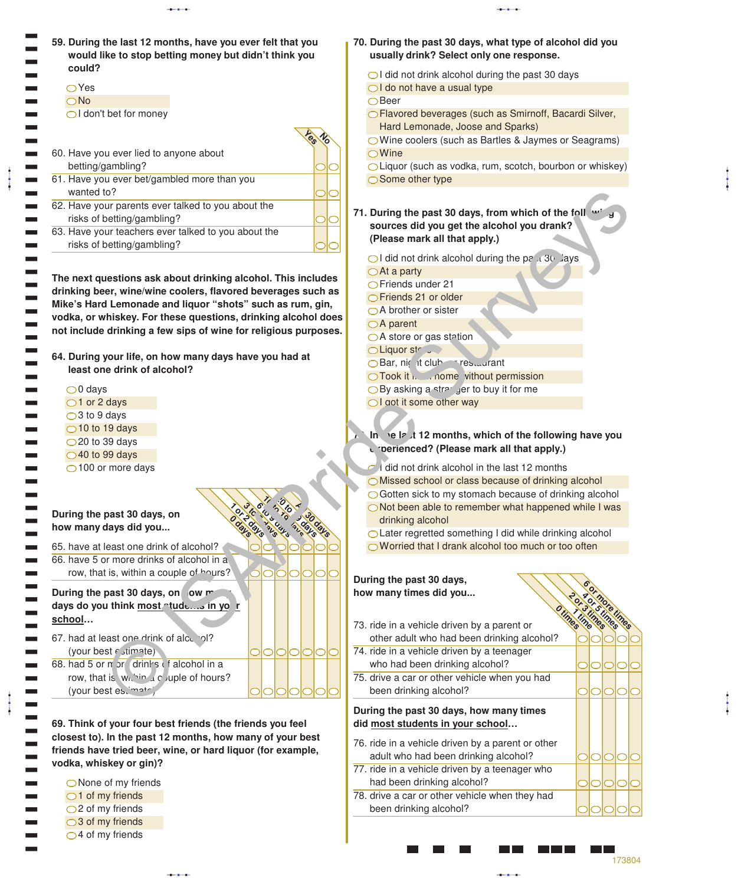| 59. During the last 12 months, have you ever felt that you<br>would like to stop betting money but didn't think you       | 70. During the past 30 days, what type of alcohol did you<br>usually drink? Select only one response.                     |
|---------------------------------------------------------------------------------------------------------------------------|---------------------------------------------------------------------------------------------------------------------------|
| could?<br>$\bigcirc$ Yes                                                                                                  | $\bigcirc$ I did not drink alcohol during the past 30 days<br>◯ I do not have a usual type                                |
| $\bigcirc$ No<br>◯ I don't bet for money                                                                                  | $\bigcap$ Beer<br>◯ Flavored beverages (such as Smirnoff, Bacardi Silver,                                                 |
|                                                                                                                           | Hard Lemonade, Joose and Sparks)                                                                                          |
| 60. Have you ever lied to anyone about                                                                                    | ◯ Wine coolers (such as Bartles & Jaymes or Seagrams)<br>$\bigcirc$ Wine                                                  |
| betting/gambling?                                                                                                         | OLiquor (such as vodka, rum, scotch, bourbon or whiskey)                                                                  |
| 61. Have you ever bet/gambled more than you<br>wanted to?                                                                 | ◯ Some other type                                                                                                         |
| 62. Have your parents ever talked to you about the                                                                        | 71. During the past 30 days, from which of the foll with                                                                  |
| risks of betting/gambling?<br>63. Have your teachers ever talked to you about the                                         | sources did you get the alcohol you drank?                                                                                |
| risks of betting/gambling?                                                                                                | (Please mark all that apply.)                                                                                             |
|                                                                                                                           | $\bigcirc$ I did not drink alcohol during the pa $\overline{30}$ ays<br>$\bigcirc$ At a party                             |
| The next questions ask about drinking alcohol. This includes                                                              | ○Friends under 21                                                                                                         |
| drinking beer, wine/wine coolers, flavored beverages such as<br>Mike's Hard Lemonade and liquor "shots" such as rum, gin, | ◯ Friends 21 or older                                                                                                     |
| vodka, or whiskey. For these questions, drinking alcohol does                                                             | $\bigcirc$ A brother or sister                                                                                            |
| not include drinking a few sips of wine for religious purposes.                                                           | $\bigcirc$ A parent                                                                                                       |
|                                                                                                                           | ○ A store or gas station<br>OLiquor str                                                                                   |
| 64. During your life, on how many days have you had at                                                                    | Bar, nic it club-restant                                                                                                  |
| least one drink of alcohol?                                                                                               | O Took it is come vithout permission                                                                                      |
| $\bigcirc$ days                                                                                                           | $\bigcirc$ By asking a strarger to buy it for me                                                                          |
| $\bigcirc$ 1 or 2 days                                                                                                    | ◯ I got it some other way                                                                                                 |
| $\bigcirc$ 3 to 9 days<br>$\bigcirc$ 10 to 19 days                                                                        |                                                                                                                           |
| $\bigcirc$ 20 to 39 days                                                                                                  | In the latit 12 months, which of the following have you                                                                   |
| $\bigcirc$ 40 to 99 days                                                                                                  | c roerienced? (Please mark all that apply.)                                                                               |
| ◯100 or more days                                                                                                         | $\sim$ did not drink alcohol in the last 12 months                                                                        |
|                                                                                                                           | OMissed school or class because of drinking alcohol                                                                       |
|                                                                                                                           | $\bigcirc$ Gotten sick to my stomach because of drinking alcohol<br>◯ Not been able to remember what happened while I was |
| During the past 30 days, on                                                                                               | drinking alcohol                                                                                                          |
| how many days did you<br>ane                                                                                              | ○ Later regretted something I did while drinking alcohol                                                                  |
| 65. have at least one drink of alcohol?<br>66. have 5 or more drinks of alcohol in a                                      | ◯ Worried that I drank alcohol too much or too often                                                                      |
| row, that is, within a couple of hours?<br>IOIOI<br>IOIO                                                                  |                                                                                                                           |
|                                                                                                                           | During the past 30 days,                                                                                                  |
| During the past 30 days, on ow m<br>days do you think most tude in yo r                                                   | how many times did you                                                                                                    |
| school                                                                                                                    | mes<br>mes                                                                                                                |
| 67. had at least one drink of alce ol?                                                                                    | times<br>TRI<br>73. ride in a vehicle driven by a parent or<br>other adult who had been drinking alcohol?                 |
| (your best estimate)<br>D                                                                                                 | 74. ride in a vehicle driven by a teenager                                                                                |
| 68. had 5 or m or drinks is alcohol in a                                                                                  | who had been drinking alcohol?<br>OIO                                                                                     |
| row, that is with the uple of hours?                                                                                      | 75. drive a car or other vehicle when you had                                                                             |
| (your best es, matr)                                                                                                      | been drinking alcohol?<br>OIOIO                                                                                           |
|                                                                                                                           | During the past 30 days, how many times                                                                                   |
| 69. Think of your four best friends (the friends you feel                                                                 | did most students in your school                                                                                          |
| closest to). In the past 12 months, how many of your best<br>friends have tried beer, wine, or hard liquor (for example,  | 76. ride in a vehicle driven by a parent or other                                                                         |
| vodka, whiskey or gin)?                                                                                                   | adult who had been drinking alcohol?                                                                                      |
| $\bigcirc$ None of my friends                                                                                             | 77. ride in a vehicle driven by a teenager who<br>had been drinking alcohol?                                              |
|                                                                                                                           |                                                                                                                           |

◯ None of my friends  $\bigcirc$ 1 of my friends  $\bigcirc$ 2 of my friends ○3 of my friends  $Q$ 4 of my friends

( ( ( ( (

aaba

 $\ddagger$ 

aaba

 $\ddagger$ 

<u> Maria Barat I</u>

78. drive a car or other vehicle when they had

been drinking alcohol?

173804

00000

이ㅇ  $\bigcirc$  $\bigcirc$  $\subset$ 

00  $\subset$ 

> Г Ŧ  $\blacksquare\blacksquare$

aaba

 $\ddagger$ 

aaba

ļ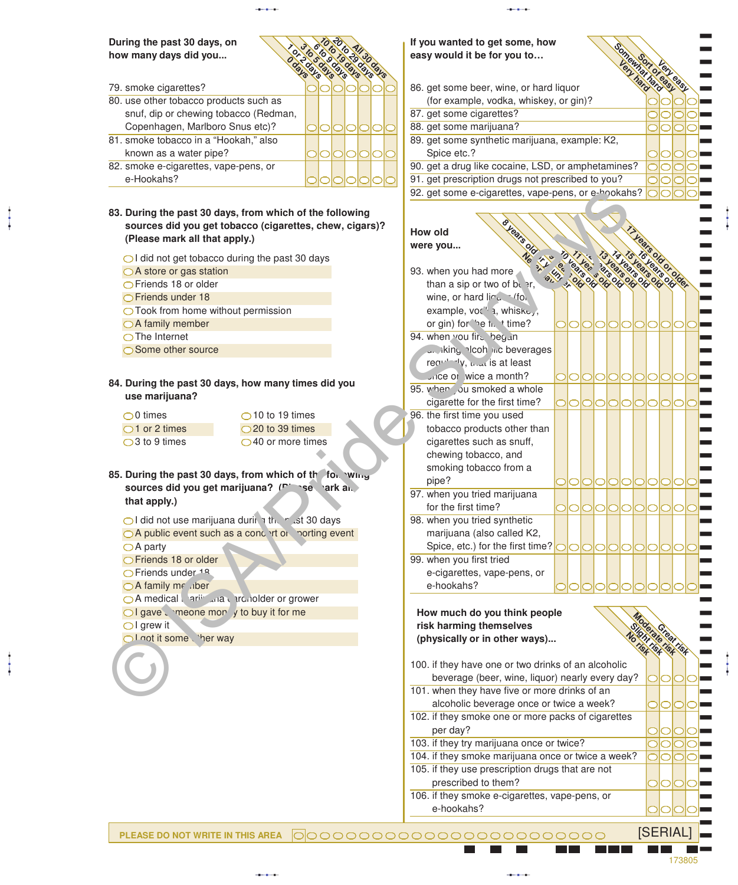aabaad ka sida lagu saaraa lagu saaraa lagu saaraa lagu saaraa lagu saaraa lagu saaraa lagu saaraa lagu saara<br>Aabaad ka sida lagu saaraa lagu saaraa lagu saaraa lagu saaraa lagu saaraa lagu saaraa lagu saaraa lagu saaraa

#### **During the past 30 days, on** how many days did you...

- 79. smoke cigarettes? 80. use other tobacco products such as snuf, dip or chewing tobacco (Redman, Copenhagen, Marlboro Snus etc)? 81. smoke tobacco in a "Hookah," also known as a water pipe? 82. smoke e-cigarettes, vape-pens, or e-Hookahs? **20 to 41/30 cm** 3 to 5 to 5 to **10 to 19 days 1 or 2 days 0 days All 30 days**
- **83. During the past 30 days, from which of the following sources did you get tobacco (cigarettes, chew, cigars)? (Please mark all that apply.)**
	- $\bigcirc$ I did not get tobacco during the past 30 days
	- A store or gas station
	- Friends 18 or older
	- Friends under 18
	- ◯ Took from home without permission
	- ○A family member
	- **O**The Internet

aaba

aaba

- ◯ Some other source
- **84. During the past 30 days, how many times did you use marijuana?**
	- $\bigcirc$ 0 times  $\bigcirc$ 1 or 2 times  $\bigcirc$ 3 to 9 times

- $\bigcirc$ I did not use marijuana during the past 30 days
- $\bigcirc$  A public event such as a concert or sporting event
- $\bigcirc$  A party
- Friends 18 or older
- **OFriends under <sup>18</sup>**
- $\bigcirc$  A family member
- **OA** medical arijuana cardholder or grower
- $\bigcirc$  I gave  $\Box$  meone money to buy it for me
- $\bigcirc$ I grew it

# **If you wanted to get some, how**

- **easy would it be for you to…**<br>Boxy and the form of the company of the company of the company of the company of the company of the company of the company of the company of the company of the company of the company of the c (for example, vodka, whiskey, or gin)?
- 87. get some cigarettes?
- 88. get some marijuana?
- 89. get some synthetic marijuana, example: K2, Spice etc.?
- 90. get a drug like cocaine, LSD, or amphetamines?
- 91. get prescription drugs not prescribed to you?

92. get some e-cigarettes, vape-pens, or e-hookahs?

**Very hard**

**Somewhat Stewart Report Sort of easy** ) ) ) ) ) ) ) ) ) ) ) ) ) ) ) )

aaba

#### **How old were you...**

|                                                              |                                                         | 92. get some e-cigarettes, vape-pens, or e-hookahs? $\bigcirc$ o o |  |                             |  |         |      |                                        |
|--------------------------------------------------------------|---------------------------------------------------------|--------------------------------------------------------------------|--|-----------------------------|--|---------|------|----------------------------------------|
| 83. During the past 30 days, from which of the following     | sources did you get tobacco (cigarettes, chew, cigars)? |                                                                    |  |                             |  |         |      |                                        |
| (Please mark all that apply.)                                |                                                         | <b>Vears Old</b><br><b>How old</b>                                 |  |                             |  |         |      |                                        |
|                                                              |                                                         | were you                                                           |  |                             |  |         |      |                                        |
| $\bigcirc$ I did not get tobacco during the past 30 days     |                                                         |                                                                    |  |                             |  |         |      |                                        |
| ○ A store or gas station                                     |                                                         | 93. when you had more                                              |  | 4 5 6 9 6 9 9 9 9 9 9 9 9 9 |  |         |      |                                        |
| ○ Friends 18 or older                                        |                                                         | than a sip or two of being.                                        |  |                             |  |         |      |                                        |
| ◯ Friends under 18                                           |                                                         | wine, or hard line. If on                                          |  |                             |  |         |      |                                        |
| ◯ Took from home without permission                          |                                                         | example, voc <sup>'l</sup> a, whiske,                              |  |                             |  |         |      |                                        |
| $\bigcirc$ A family member                                   |                                                         | or gin) for he that time?                                          |  | 000000000000                |  |         |      |                                        |
| $\bigcirc$ The Internet                                      |                                                         | 94. when you fire begun                                            |  |                             |  |         |      |                                        |
| ◯ Some other source                                          |                                                         | whing plooh inc beverages                                          |  |                             |  |         |      |                                        |
|                                                              |                                                         | reandly, then is at least                                          |  |                             |  |         |      |                                        |
| 84. During the past 30 days, how many times did you          |                                                         | crice or wice a month?                                             |  |                             |  |         |      | 000000000000                           |
| use marijuana?                                               |                                                         | 95. when ou smoked a whole                                         |  |                             |  |         |      |                                        |
|                                                              |                                                         | cigarette for the first time?                                      |  |                             |  |         |      | 000000000000                           |
| $\bigcirc$ 0 times                                           | $\bigcirc$ 10 to 19 times                               | 96. the first time you used                                        |  |                             |  |         |      |                                        |
| $\bigcirc$ 1 or 2 times                                      | $\bigcirc$ 20 to 39 times                               | tobacco products other than                                        |  |                             |  |         |      |                                        |
| $\bigcirc$ 3 to 9 times                                      | $\bigcirc$ 40 or more times                             | cigarettes such as snuff,                                          |  |                             |  |         |      |                                        |
|                                                              |                                                         | chewing tobacco, and                                               |  |                             |  |         |      |                                        |
|                                                              |                                                         | smoking tobacco from a                                             |  |                             |  |         |      |                                        |
| 85. During the past 30 days, from which of the following     |                                                         | pipe?                                                              |  | 00000000000                 |  |         |      |                                        |
|                                                              | sources did you get marijuana? (Figure ) ark and        | 97. when you tried marijuana                                       |  |                             |  |         |      |                                        |
| that apply.)                                                 |                                                         | for the first time?                                                |  |                             |  |         |      | 00000000000                            |
|                                                              | ol did not use marijuana during their est 30 days       | 98. when you tried synthetic                                       |  |                             |  |         |      |                                        |
|                                                              | O A public event such as a concent of porting event     | marijuana (also called K2,                                         |  |                             |  |         |      |                                        |
| $\bigcirc$ A party                                           |                                                         |                                                                    |  |                             |  |         |      |                                        |
| ◯ Friends 18 or older                                        |                                                         | 99. when you first tried                                           |  |                             |  |         |      |                                        |
| ○ Friends under 18                                           |                                                         | e-cigarettes, vape-pens, or                                        |  |                             |  |         |      |                                        |
| ○ A family me .iber                                          |                                                         | e-hookahs?                                                         |  |                             |  |         |      |                                        |
| A medical arii ara tranolder or grower                       |                                                         |                                                                    |  |                             |  |         |      |                                        |
| $\bigcirc$ I gave $\Box$ meone mon $\prime$ to buy it for me |                                                         |                                                                    |  |                             |  |         |      |                                        |
| $\overline{\bigcirc}$ I grew it                              |                                                         | How much do you think people                                       |  |                             |  |         |      |                                        |
| Ol not it some ther way                                      |                                                         | risk harming themselves                                            |  |                             |  |         |      |                                        |
|                                                              |                                                         | (physically or in other ways)                                      |  |                             |  |         |      |                                        |
|                                                              |                                                         |                                                                    |  |                             |  |         |      |                                        |
|                                                              |                                                         | 100. if they have one or two drinks of an alcoholic                |  |                             |  |         |      |                                        |
|                                                              |                                                         | beverage (beer, wine, liquor) nearly every day?                    |  |                             |  |         |      |                                        |
|                                                              |                                                         | 101. when they have five or more drinks of an                      |  |                             |  |         |      |                                        |
|                                                              |                                                         | alcoholic beverage once or twice a week?                           |  |                             |  |         |      | 0000-                                  |
|                                                              |                                                         | 102. if they smoke one or more packs of cigarettes                 |  |                             |  |         |      |                                        |
|                                                              |                                                         | per day?                                                           |  |                             |  | $\circ$ |      | $  \bigcirc   \bigcirc   \bigcirc   =$ |
|                                                              |                                                         | 103. if they try marijuana once or twice?                          |  |                             |  |         | lolo | $\Box$                                 |
|                                                              |                                                         | 104. if they smoke marijuana once or twice a week?                 |  |                             |  |         |      | $OO$ $O$ $\blacksquare$                |
|                                                              |                                                         | 105. if they use prescription drugs that are not                   |  |                             |  |         |      |                                        |
|                                                              |                                                         | prescribed to them?                                                |  |                             |  |         |      | 00000                                  |
|                                                              |                                                         | 106. if they smoke e-cigarettes, vape-pens, or                     |  |                             |  |         |      |                                        |
|                                                              |                                                         | e-hookahs?                                                         |  |                             |  |         |      |                                        |

173805

) ) ) aaba

[SERIAL]

**PLEASE DO NOT WRITE IN THIS AREA** 0000000000000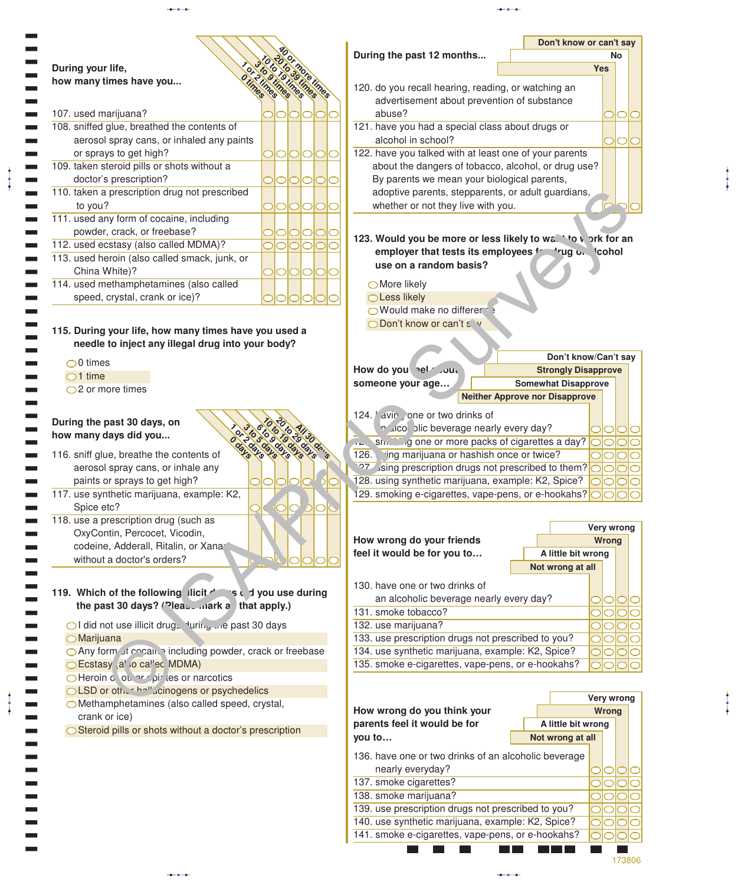|                                                                                                                                                                                                                            |                      |                                                                                                        | Don't know or can't say |
|----------------------------------------------------------------------------------------------------------------------------------------------------------------------------------------------------------------------------|----------------------|--------------------------------------------------------------------------------------------------------|-------------------------|
| During your life,                                                                                                                                                                                                          |                      | During the past 12 months                                                                              | No<br><b>Yes</b>        |
| how many times have you                                                                                                                                                                                                    |                      |                                                                                                        |                         |
|                                                                                                                                                                                                                            | Imes                 | 120. do you recall hearing, reading, or watching an                                                    |                         |
|                                                                                                                                                                                                                            |                      | advertisement about prevention of substance                                                            |                         |
| 107. used marijuana?                                                                                                                                                                                                       | 0101010              | abuse?                                                                                                 |                         |
| 108. sniffed glue, breathed the contents of                                                                                                                                                                                |                      | 121. have you had a special class about drugs or                                                       |                         |
| aerosol spray cans, or inhaled any paints                                                                                                                                                                                  |                      | alcohol in school?                                                                                     | ◯                       |
| or sprays to get high?                                                                                                                                                                                                     | <b>PIOIOIO</b>       | 122. have you talked with at least one of your parents                                                 |                         |
| 109. taken steroid pills or shots without a                                                                                                                                                                                |                      | about the dangers of tobacco, alcohol, or drug use?                                                    |                         |
| doctor's prescription?                                                                                                                                                                                                     | <b>POOOO</b>         | By parents we mean your biological parents,                                                            |                         |
| 110. taken a prescription drug not prescribed                                                                                                                                                                              |                      | adoptive parents, stepparents, or adult guardians,                                                     |                         |
| to you?                                                                                                                                                                                                                    | 00000                | whether or not they live with you.                                                                     |                         |
| 111. used any form of cocaine, including                                                                                                                                                                                   |                      |                                                                                                        |                         |
| powder, crack, or freebase?                                                                                                                                                                                                | 101010               | 123. Would you be more or less likely to wa. 'to vork for an                                           |                         |
| 112. used ecstasy (also called MDMA)?                                                                                                                                                                                      | 0000                 | employer that tests its employees fracting of licohol                                                  |                         |
| 113. used heroin (also called smack, junk, or                                                                                                                                                                              |                      | use on a random basis?                                                                                 |                         |
| China White)?                                                                                                                                                                                                              | 00000                |                                                                                                        |                         |
| 114. used methamphetamines (also called                                                                                                                                                                                    |                      | ◯ More likely                                                                                          |                         |
| speed, crystal, crank or ice)?                                                                                                                                                                                             |                      | ○ Less likely                                                                                          |                         |
|                                                                                                                                                                                                                            |                      | ◯ Would make no different >                                                                            |                         |
| 115. During your life, how many times have you used a                                                                                                                                                                      |                      | O Don't know or can't s v                                                                              |                         |
| needle to inject any illegal drug into your body?                                                                                                                                                                          |                      |                                                                                                        |                         |
|                                                                                                                                                                                                                            |                      |                                                                                                        | Don't know/Can't say    |
| $\bigcirc$ 0 times<br>$\bigcirc$ 1 time                                                                                                                                                                                    |                      | How do you self July<br><b>Strongly Disapprove</b>                                                     |                         |
| $\bigcirc$ 2 or more times                                                                                                                                                                                                 |                      | <b>Somewhat Disapprove</b><br>someone your age                                                         |                         |
|                                                                                                                                                                                                                            |                      | <b>Neither Approve nor Disapprove</b>                                                                  |                         |
|                                                                                                                                                                                                                            |                      |                                                                                                        |                         |
| During the past 30 days, on                                                                                                                                                                                                |                      | 124. avin one or two drinks of                                                                         |                         |
|                                                                                                                                                                                                                            |                      |                                                                                                        |                         |
|                                                                                                                                                                                                                            |                      | n alcol blic beverage nearly every day?                                                                | $\bigcirc$              |
|                                                                                                                                                                                                                            |                      | sh. Ship one or more packs of cigarettes a day?                                                        | $\circlearrowright$     |
|                                                                                                                                                                                                                            | days<br><b>BLBLS</b> | 126. ing marijuana or hashish once or twice?                                                           | ⌒                       |
| aerosol spray cans, or inhale any                                                                                                                                                                                          |                      | 27 sing prescription drugs not prescribed to them?                                                     | ◯                       |
| paints or sprays to get high?                                                                                                                                                                                              | 0000410              | 128. using synthetic marijuana, example: K2, Spice?                                                    | ⌒                       |
|                                                                                                                                                                                                                            |                      | 129. smoking e-cigarettes, vape-pens, or e-hookahs?                                                    |                         |
| Spice etc?                                                                                                                                                                                                                 | <b>IOO</b>           |                                                                                                        |                         |
|                                                                                                                                                                                                                            |                      |                                                                                                        | Very wrong              |
| OxyContin, Percocet, Vicodin,                                                                                                                                                                                              |                      | How wrong do your friends                                                                              | Wrong                   |
| codeine, Adderall, Ritalin, or Xana                                                                                                                                                                                        |                      | feel it would be for you to<br>A little bit wrong                                                      |                         |
| without a doctor's orders?                                                                                                                                                                                                 |                      | Not wrong at all                                                                                       |                         |
|                                                                                                                                                                                                                            |                      |                                                                                                        |                         |
|                                                                                                                                                                                                                            |                      | 130. have one or two drinks of                                                                         |                         |
| the past 30 days? (Pleas mark a that apply.)                                                                                                                                                                               |                      | an alcoholic beverage nearly every day?                                                                | OIC                     |
|                                                                                                                                                                                                                            |                      | 131. smoke tobacco?                                                                                    | $\circ$                 |
| OI did not use illicit drugs luring the past 30 days                                                                                                                                                                       |                      | 132. use marijuana?                                                                                    | $\circ$                 |
| $O$ Marijuana                                                                                                                                                                                                              |                      | 133. use prescription drugs not prescribed to you?                                                     | O                       |
| O Any form of cocain including powder, crack or freebase                                                                                                                                                                   |                      | 134. use synthetic marijuana, example: K2, Spice?                                                      |                         |
| ◯ Ecstasy al <sub>io cal'ed</sub> MDMA)                                                                                                                                                                                    |                      | 135. smoke e-cigarettes, vape-pens, or e-hookahs?                                                      |                         |
| O Heroin o of an oligic les or narcotics                                                                                                                                                                                   |                      |                                                                                                        |                         |
| OLSD or other hall acinogens or psychedelics                                                                                                                                                                               |                      |                                                                                                        | Very wrong              |
| OMethamphetamines (also called speed, crystal,                                                                                                                                                                             |                      | How wrong do you think your                                                                            | Wrong                   |
| crank or ice)                                                                                                                                                                                                              |                      | A little bit wrong                                                                                     |                         |
| ◯ Steroid pills or shots without a doctor's prescription                                                                                                                                                                   |                      | parents feel it would be for                                                                           |                         |
|                                                                                                                                                                                                                            |                      | you to<br>Not wrong at all                                                                             |                         |
|                                                                                                                                                                                                                            |                      | 136. have one or two drinks of an alcoholic beverage                                                   |                         |
|                                                                                                                                                                                                                            |                      | nearly everyday?                                                                                       | OIC                     |
|                                                                                                                                                                                                                            |                      | 137. smoke cigarettes?                                                                                 | $\circ$                 |
| how many days did you<br>116. sniff glue, breathe the contents of<br>117. use synthetic marijuana, example: K2,<br>118. use a prescription drug (such as<br>119. Which of the following licit design is a divou use during |                      | 138. smoke marijuana?                                                                                  | 0                       |
|                                                                                                                                                                                                                            |                      | 139. use prescription drugs not prescribed to you?                                                     | O                       |
|                                                                                                                                                                                                                            |                      | 140. use synthetic marijuana, example: K2, Spice?<br>141. smoke e-cigarettes, vape-pens, or e-hookahs? | ◯                       |

aaba aabaa aabaa aabaa aabaa aabaa aabaa aabaa aabaa aabaa aabaa aabaa aabaa aabaa aabaa aabaa aabaa aabaa aab<br>aabaa aabaa aabaa aabaa aabaa aabaa aabaa aabaa aabaa aabaa aabaa aabaa aabaa aabaa aabaa aabaa aabaa aabaa aa

 $\sim$ 

aaba

 $\frac{1}{4}$ 

aaba

 $\frac{1}{4}$ 

173806

aaba

 $\frac{1}{4}$ 

aaba

 $\ddagger$